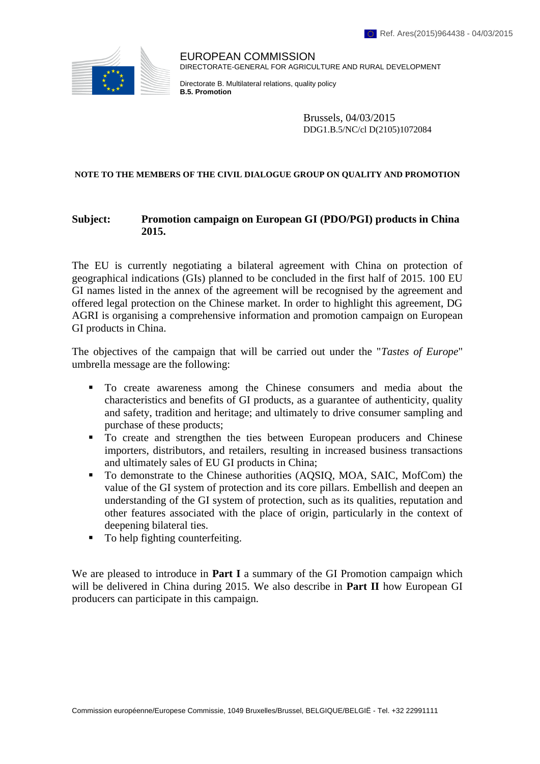

EUROPEAN COMMISSION DIRECTORATE-GENERAL FOR AGRICULTURE AND RURAL DEVELOPMENT

Directorate B. Multilateral relations, quality policy **B.5. Promotion**

> Brussels, 04/03/2015 DDG1.B.5/NC/cl D(2105)1072084

#### **NOTE TO THE MEMBERS OF THE CIVIL DIALOGUE GROUP ON QUALITY AND PROMOTION**

### **Subject: Promotion campaign on European GI (PDO/PGI) products in China 2015.**

The EU is currently negotiating a bilateral agreement with China on protection of geographical indications (GIs) planned to be concluded in the first half of 2015. 100 EU GI names listed in the annex of the agreement will be recognised by the agreement and offered legal protection on the Chinese market. In order to highlight this agreement, DG AGRI is organising a comprehensive information and promotion campaign on European GI products in China.

The objectives of the campaign that will be carried out under the "*Tastes of Europe*" umbrella message are the following:

- To create awareness among the Chinese consumers and media about the characteristics and benefits of GI products, as a guarantee of authenticity, quality and safety, tradition and heritage; and ultimately to drive consumer sampling and purchase of these products;
- To create and strengthen the ties between European producers and Chinese importers, distributors, and retailers, resulting in increased business transactions and ultimately sales of EU GI products in China;
- To demonstrate to the Chinese authorities (AQSIQ, MOA, SAIC, MofCom) the value of the GI system of protection and its core pillars. Embellish and deepen an understanding of the GI system of protection, such as its qualities, reputation and other features associated with the place of origin, particularly in the context of deepening bilateral ties.
- To help fighting counterfeiting.

We are pleased to introduce in **Part I** a summary of the GI Promotion campaign which will be delivered in China during 2015. We also describe in **Part II** how European GI producers can participate in this campaign.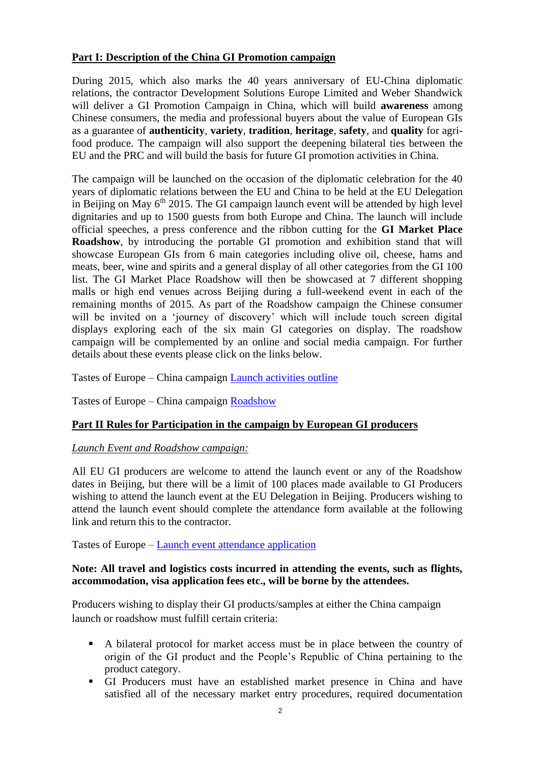# **Part I: Description of the China GI Promotion campaign**

During 2015, which also marks the 40 years anniversary of EU-China diplomatic relations, the contractor Development Solutions Europe Limited and Weber Shandwick will deliver a GI Promotion Campaign in China, which will build **awareness** among Chinese consumers, the media and professional buyers about the value of European GIs as a guarantee of **authenticity**, **variety**, **tradition**, **heritage**, **safety**, and **quality** for agrifood produce. The campaign will also support the deepening bilateral ties between the EU and the PRC and will build the basis for future GI promotion activities in China.

The campaign will be launched on the occasion of the diplomatic celebration for the 40 years of diplomatic relations between the EU and China to be held at the EU Delegation in Beijing on May  $6<sup>th</sup>$  2015. The GI campaign launch event will be attended by high level dignitaries and up to 1500 guests from both Europe and China. The launch will include official speeches, a press conference and the ribbon cutting for the **GI Market Place Roadshow**, by introducing the portable GI promotion and exhibition stand that will showcase European GIs from 6 main categories including olive oil, cheese, hams and meats, beer, wine and spirits and a general display of all other categories from the GI 100 list. The GI Market Place Roadshow will then be showcased at 7 different shopping malls or high end venues across Beijing during a full-weekend event in each of the remaining months of 2015. As part of the Roadshow campaign the Chinese consumer will be invited on a 'journey of discovery' which will include touch screen digital displays exploring each of the six main GI categories on display. The roadshow campaign will be complemented by an online and social media campaign. For further details about these events please click on the links below.

Tastes of Europe – China campaign [Launch activities outline](https://drive.google.com/file/d/0B_sfESWUHOh8WXZjMjNDNEplT28/view?usp=sharing)

Tastes of Europe – [China campaign Roadshow](https://drive.google.com/file/d/0B_sfESWUHOh8UTdJNkUwMDVnNlE/view?usp=sharing)

# **Part II Rules for Participation in the campaign by European GI producers**

#### *Launch Event and Roadshow campaign:*

All EU GI producers are welcome to attend the launch event or any of the Roadshow dates in Beijing, but there will be a limit of 100 places made available to GI Producers wishing to attend the launch event at the EU Delegation in Beijing. Producers wishing to attend the launch event should complete the attendance form available at the following link and return this to the contractor.

Tastes of Europe – [Launch event attendance application](https://docs.google.com/forms/d/1pzGVGhRX_yQPGXswe5JF66ddKZbnuMo7HibmHq6mSf8/viewform?hl=en)

### **Note: All travel and logistics costs incurred in attending the events, such as flights, accommodation, visa application fees etc., will be borne by the attendees.**

Producers wishing to display their GI products/samples at either the China campaign launch or roadshow must fulfill certain criteria:

- A bilateral protocol for market access must be in place between the country of origin of the GI product and the People's Republic of China pertaining to the product category.
- GI Producers must have an established market presence in China and have satisfied all of the necessary market entry procedures, required documentation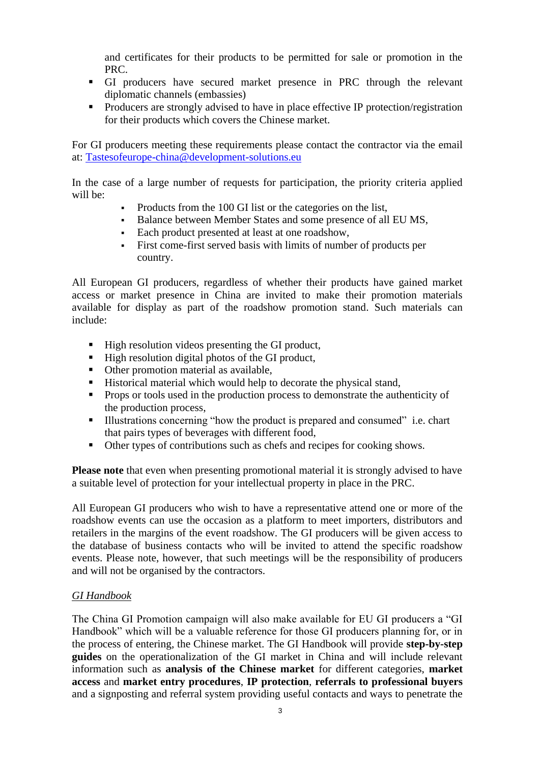and certificates for their products to be permitted for sale or promotion in the PRC.

- GI producers have secured market presence in PRC through the relevant diplomatic channels (embassies)
- **Producers are strongly advised to have in place effective IP protection/registration** for their products which covers the Chinese market.

For GI producers meeting these requirements please contact the contractor via the email at: [Tastesofeurope-china@development-solutions.eu](mailto:Tastesofeurope-china@development-solutions.eu)

In the case of a large number of requests for participation, the priority criteria applied will be:

- Products from the 100 GI list or the categories on the list,
- Balance between Member States and some presence of all EU MS,
- Each product presented at least at one roadshow,
- First come-first served basis with limits of number of products per country.

All European GI producers, regardless of whether their products have gained market access or market presence in China are invited to make their promotion materials available for display as part of the roadshow promotion stand. Such materials can include:

- $\blacksquare$  High resolution videos presenting the GI product,
- High resolution digital photos of the GI product,
- Other promotion material as available,
- Historical material which would help to decorate the physical stand,
- Props or tools used in the production process to demonstrate the authenticity of the production process,
- Illustrations concerning "how the product is prepared and consumed" i.e. chart that pairs types of beverages with different food,
- Other types of contributions such as chefs and recipes for cooking shows.

**Please note** that even when presenting promotional material it is strongly advised to have a suitable level of protection for your intellectual property in place in the PRC.

All European GI producers who wish to have a representative attend one or more of the roadshow events can use the occasion as a platform to meet importers, distributors and retailers in the margins of the event roadshow. The GI producers will be given access to the database of business contacts who will be invited to attend the specific roadshow events. Please note, however, that such meetings will be the responsibility of producers and will not be organised by the contractors.

# *GI Handbook*

The China GI Promotion campaign will also make available for EU GI producers a "GI Handbook" which will be a valuable reference for those GI producers planning for, or in the process of entering, the Chinese market. The GI Handbook will provide **step-by-step guides** on the operationalization of the GI market in China and will include relevant information such as **analysis of the Chinese market** for different categories, **market access** and **market entry procedures**, **IP protection**, **referrals to professional buyers** and a signposting and referral system providing useful contacts and ways to penetrate the